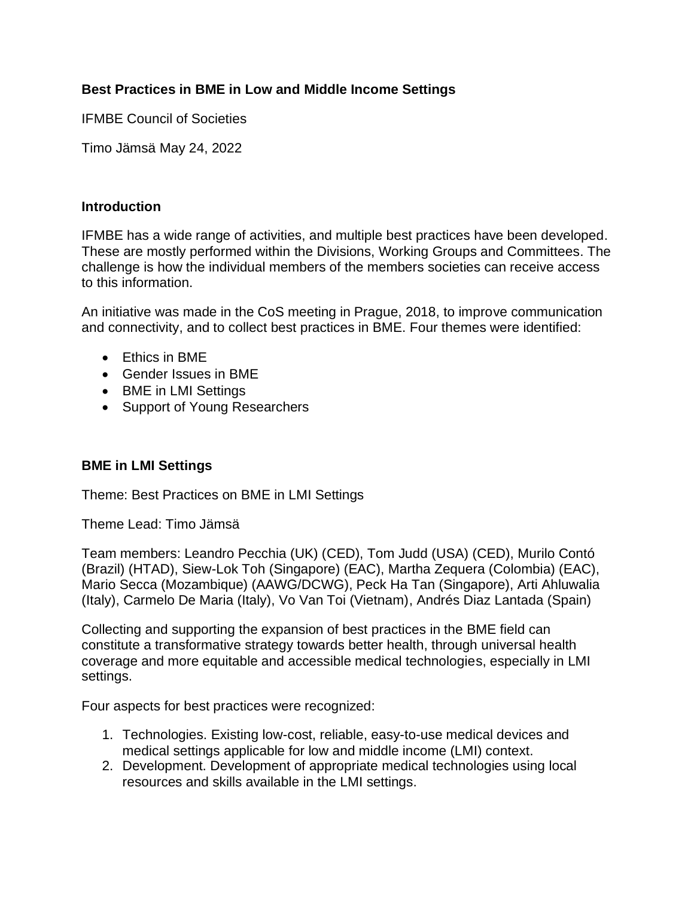# **Best Practices in BME in Low and Middle Income Settings**

IFMBE Council of Societies

Timo Jämsä May 24, 2022

## **Introduction**

IFMBE has a wide range of activities, and multiple best practices have been developed. These are mostly performed within the Divisions, Working Groups and Committees. The challenge is how the individual members of the members societies can receive access to this information.

An initiative was made in the CoS meeting in Prague, 2018, to improve communication and connectivity, and to collect best practices in BME. Four themes were identified:

- Ethics in BME
- Gender Issues in BME
- BME in LMI Settings
- Support of Young Researchers

## **BME in LMI Settings**

Theme: Best Practices on BME in LMI Settings

Theme Lead: Timo Jämsä

Team members: Leandro Pecchia (UK) (CED), Tom Judd (USA) (CED), Murilo Contó (Brazil) (HTAD), Siew-Lok Toh (Singapore) (EAC), Martha Zequera (Colombia) (EAC), Mario Secca (Mozambique) (AAWG/DCWG), Peck Ha Tan (Singapore), Arti Ahluwalia (Italy), Carmelo De Maria (Italy), Vo Van Toi (Vietnam), Andrés Diaz Lantada (Spain)

Collecting and supporting the expansion of best practices in the BME field can constitute a transformative strategy towards better health, through universal health coverage and more equitable and accessible medical technologies, especially in LMI settings.

Four aspects for best practices were recognized:

- 1. Technologies. Existing low-cost, reliable, easy-to-use medical devices and medical settings applicable for low and middle income (LMI) context.
- 2. Development. Development of appropriate medical technologies using local resources and skills available in the LMI settings.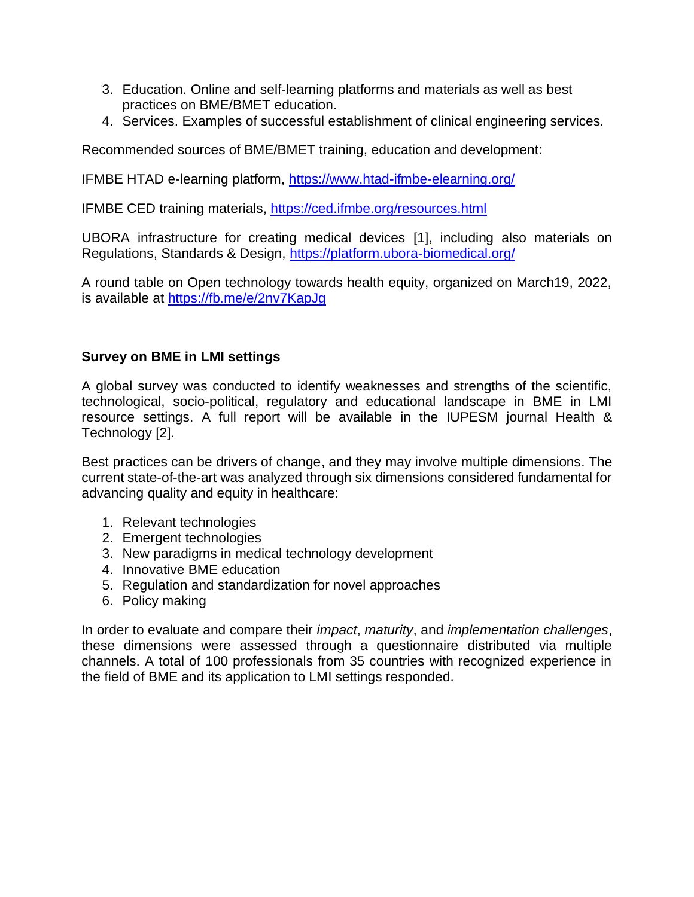- 3. Education. Online and self-learning platforms and materials as well as best practices on BME/BMET education.
- 4. Services. Examples of successful establishment of clinical engineering services.

Recommended sources of BME/BMET training, education and development:

IFMBE HTAD e-learning platform, <https://www.htad-ifmbe-elearning.org/>

IFMBE CED training materials,<https://ced.ifmbe.org/resources.html>

UBORA infrastructure for creating medical devices [1], including also materials on Regulations, Standards & Design,<https://platform.ubora-biomedical.org/>

A round table on Open technology towards health equity, organized on March19, 2022, is available at<https://fb.me/e/2nv7KapJg>

## **Survey on BME in LMI settings**

A global survey was conducted to identify weaknesses and strengths of the scientific, technological, socio-political, regulatory and educational landscape in BME in LMI resource settings. A full report will be available in the IUPESM journal Health & Technology [2].

Best practices can be drivers of change, and they may involve multiple dimensions. The current state-of-the-art was analyzed through six dimensions considered fundamental for advancing quality and equity in healthcare:

- 1. Relevant technologies
- 2. Emergent technologies
- 3. New paradigms in medical technology development
- 4. Innovative BME education
- 5. Regulation and standardization for novel approaches
- 6. Policy making

In order to evaluate and compare their *impact*, *maturity*, and *implementation challenges*, these dimensions were assessed through a questionnaire distributed via multiple channels. A total of 100 professionals from 35 countries with recognized experience in the field of BME and its application to LMI settings responded.